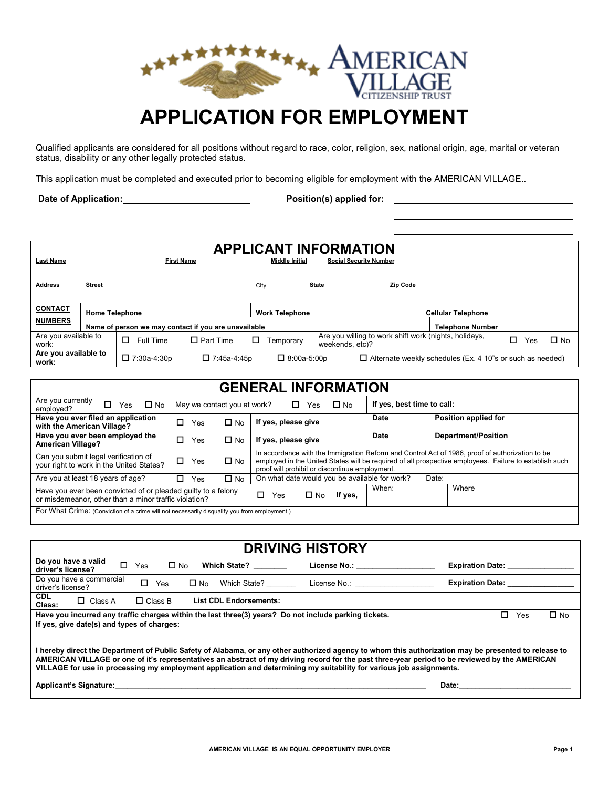

Qualified applicants are considered for all positions without regard to race, color, religion, sex, national origin, age, marital or veteran status, disability or any other legally protected status.

This application must be completed and executed prior to becoming eligible for employment with the AMERICAN VILLAGE..

**Date of Application: Position(s) applied for:** 

| <b>APPLICANT INFORMATION</b>  |                       |                                                      |                    |      |                                                        |                                                                          |                                                                  |          |           |  |  |  |
|-------------------------------|-----------------------|------------------------------------------------------|--------------------|------|--------------------------------------------------------|--------------------------------------------------------------------------|------------------------------------------------------------------|----------|-----------|--|--|--|
| <b>Last Name</b>              |                       | <b>First Name</b>                                    |                    |      | <b>Middle Initial</b><br><b>Social Security Number</b> |                                                                          |                                                                  |          |           |  |  |  |
|                               |                       |                                                      |                    |      |                                                        |                                                                          |                                                                  |          |           |  |  |  |
| <b>Address</b>                | <b>Street</b>         |                                                      |                    | City |                                                        | Zip Code<br><b>State</b>                                                 |                                                                  |          |           |  |  |  |
|                               |                       |                                                      |                    |      |                                                        |                                                                          |                                                                  |          |           |  |  |  |
| <b>CONTACT</b>                | <b>Home Telephone</b> |                                                      |                    |      | <b>Work Telephone</b>                                  |                                                                          | <b>Cellular Telephone</b>                                        |          |           |  |  |  |
| <b>NUMBERS</b>                |                       | Name of person we may contact if you are unavailable |                    |      |                                                        |                                                                          | <b>Telephone Number</b>                                          |          |           |  |  |  |
| Are you available to<br>work: |                       | П<br>Full Time                                       | $\Box$ Part Time   | □    | Temporary                                              | Are you willing to work shift work (nights, holidays,<br>weekends, etc)? |                                                                  | п<br>Yes | $\Box$ No |  |  |  |
| Are you available to<br>work: |                       | $\Box$ 7:30a-4:30p                                   | $\Box$ 7:45a-4:45p |      | $\Box$ 8:00a-5:00p                                     |                                                                          | $\Box$ Alternate weekly schedules (Ex. 4 10"s or such as needed) |          |           |  |  |  |

| <b>GENERAL INFORMATION</b>                                                                                                                          |               |                     |                                                                                                                                                                                                                                                             |                              |  |       |  |  |  |
|-----------------------------------------------------------------------------------------------------------------------------------------------------|---------------|---------------------|-------------------------------------------------------------------------------------------------------------------------------------------------------------------------------------------------------------------------------------------------------------|------------------------------|--|-------|--|--|--|
| Are you currently<br>П<br>If yes, best time to call:<br>$\square$ No<br>May we contact you at work?<br>$\square$ No<br>□<br>Yes<br>Yes<br>employed? |               |                     |                                                                                                                                                                                                                                                             |                              |  |       |  |  |  |
| Have you ever filed an application<br>with the American Village?                                                                                    | $\Box$<br>Yes | $\Box$ No           | If yes, please give                                                                                                                                                                                                                                         | Position applied for<br>Date |  |       |  |  |  |
| Have you ever been employed the<br><b>American Village?</b>                                                                                         | $\Box$ No     | If yes, please give | Department/Position                                                                                                                                                                                                                                         |                              |  |       |  |  |  |
| Can you submit legal verification of<br>your right to work in the United States?                                                                    | □<br>Yes      | $\square$ No        | In accordance with the Immigration Reform and Control Act of 1986, proof of authorization to be<br>employed in the United States will be required of all prospective employees. Failure to establish such<br>proof will prohibit or discontinue employment. |                              |  |       |  |  |  |
| Are you at least 18 years of age?                                                                                                                   | п<br>Yes      | $\square$ No        | On what date would you be available for work?<br>Date:                                                                                                                                                                                                      |                              |  |       |  |  |  |
| Have you ever been convicted of or pleaded guilty to a felony<br>or misdemeanor, other than a minor traffic violation?                              |               |                     | П<br>If yes,<br>$\Box$ No<br>Yes                                                                                                                                                                                                                            | When:                        |  | Where |  |  |  |
| For What Crime: (Conviction of a crime will not necessarily disqualify you from employment.)                                                        |               |                     |                                                                                                                                                                                                                                                             |                              |  |       |  |  |  |

| <b>DRIVING HISTORY</b>                                                                                                                                                                                                                                                                                                                                                                                                                                                                                                                                                                                                                                         |                              |                          |                         |  |  |  |  |  |  |  |
|----------------------------------------------------------------------------------------------------------------------------------------------------------------------------------------------------------------------------------------------------------------------------------------------------------------------------------------------------------------------------------------------------------------------------------------------------------------------------------------------------------------------------------------------------------------------------------------------------------------------------------------------------------------|------------------------------|--------------------------|-------------------------|--|--|--|--|--|--|--|
| Do you have a valid<br>□<br>$\square$ No<br>Yes<br>driver's license?                                                                                                                                                                                                                                                                                                                                                                                                                                                                                                                                                                                           | Which State?                 | License No.: ___________ | <b>Expiration Date:</b> |  |  |  |  |  |  |  |
| Do you have a commercial<br>$\Box$<br>Yes<br>driver's license?                                                                                                                                                                                                                                                                                                                                                                                                                                                                                                                                                                                                 | $\square$ No<br>Which State? | <b>Expiration Date:</b>  |                         |  |  |  |  |  |  |  |
| <b>CDL</b><br><b>List CDL Endorsements:</b><br>$\Box$ Class B<br>$\Box$ Class A<br>Class:                                                                                                                                                                                                                                                                                                                                                                                                                                                                                                                                                                      |                              |                          |                         |  |  |  |  |  |  |  |
| Have you incurred any traffic charges within the last three(3) years? Do not include parking tickets.                                                                                                                                                                                                                                                                                                                                                                                                                                                                                                                                                          |                              |                          | $\Box$ No<br>П.<br>Yes  |  |  |  |  |  |  |  |
| If yes, give date(s) and types of charges:                                                                                                                                                                                                                                                                                                                                                                                                                                                                                                                                                                                                                     |                              |                          |                         |  |  |  |  |  |  |  |
| I hereby direct the Department of Public Safety of Alabama, or any other authorized agency to whom this authorization may be presented to release to<br>AMERICAN VILLAGE or one of it's representatives an abstract of my driving record for the past three-year period to be reviewed by the AMERICAN<br>VILLAGE for use in processing my employment application and determining my suitability for various job assignments.<br>Applicant's Signature: Applicant of the state of the state of the state of the state of the state of the state of the state of the state of the state of the state of the state of the state of the state of the state of the |                              |                          |                         |  |  |  |  |  |  |  |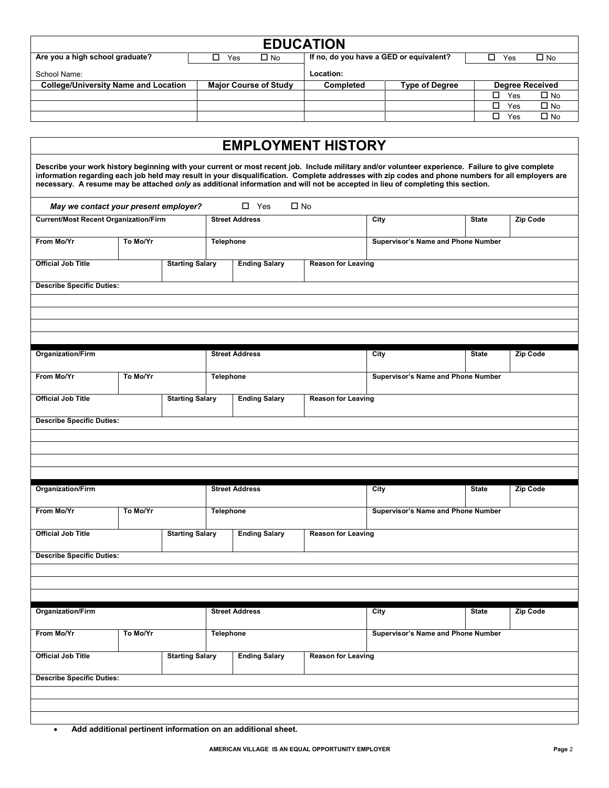| <b>EDUCATION</b>                            |                              |                                                                |                       |                        |  |  |  |  |  |  |  |
|---------------------------------------------|------------------------------|----------------------------------------------------------------|-----------------------|------------------------|--|--|--|--|--|--|--|
| Are you a high school graduate?             | $\square$ No<br>Yes          | If no, do you have a GED or equivalent?<br>$\square$ No<br>Yes |                       |                        |  |  |  |  |  |  |  |
| School Name:                                |                              | Location:                                                      |                       |                        |  |  |  |  |  |  |  |
| <b>College/University Name and Location</b> | <b>Major Course of Study</b> | Completed                                                      | <b>Type of Degree</b> | <b>Degree Received</b> |  |  |  |  |  |  |  |
|                                             |                              |                                                                |                       | $\square$ No<br>Yes    |  |  |  |  |  |  |  |
|                                             |                              |                                                                |                       | $\Box$ No<br>L<br>Yes  |  |  |  |  |  |  |  |
|                                             |                              |                                                                |                       | $\square$ No<br>Yes    |  |  |  |  |  |  |  |

|                                                     |                                       |                        |                       | <b>EMPLOYMENT HISTORY</b>                              |                           |                                                                                                                                                                                                                                                                                                                                                                                                                                            |              |                 |  |
|-----------------------------------------------------|---------------------------------------|------------------------|-----------------------|--------------------------------------------------------|---------------------------|--------------------------------------------------------------------------------------------------------------------------------------------------------------------------------------------------------------------------------------------------------------------------------------------------------------------------------------------------------------------------------------------------------------------------------------------|--------------|-----------------|--|
|                                                     |                                       |                        |                       |                                                        |                           | Describe your work history beginning with your current or most recent job. Include military and/or volunteer experience. Failure to give complete<br>information regarding each job held may result in your disqualification. Complete addresses with zip codes and phone numbers for all employers are<br>necessary. A resume may be attached only as additional information and will not be accepted in lieu of completing this section. |              |                 |  |
|                                                     | May we contact your present employer? |                        |                       | $\square$ Yes                                          | $\square$ No              |                                                                                                                                                                                                                                                                                                                                                                                                                                            |              |                 |  |
| <b>Current/Most Recent Organization/Firm</b>        |                                       |                        |                       | <b>Street Address</b>                                  |                           | City                                                                                                                                                                                                                                                                                                                                                                                                                                       | <b>State</b> | Zip Code        |  |
| From Mo/Yr<br>To Mo/Yr                              |                                       |                        |                       | <b>Telephone</b>                                       |                           | Supervisor's Name and Phone Number                                                                                                                                                                                                                                                                                                                                                                                                         |              |                 |  |
| <b>Official Job Title</b><br><b>Starting Salary</b> |                                       |                        |                       | <b>Ending Salary</b>                                   |                           |                                                                                                                                                                                                                                                                                                                                                                                                                                            |              |                 |  |
| <b>Describe Specific Duties:</b>                    |                                       |                        |                       |                                                        |                           |                                                                                                                                                                                                                                                                                                                                                                                                                                            |              |                 |  |
|                                                     |                                       |                        |                       |                                                        |                           |                                                                                                                                                                                                                                                                                                                                                                                                                                            |              |                 |  |
|                                                     |                                       |                        |                       |                                                        |                           |                                                                                                                                                                                                                                                                                                                                                                                                                                            |              |                 |  |
| Organization/Firm                                   |                                       |                        |                       | <b>Street Address</b>                                  |                           | City                                                                                                                                                                                                                                                                                                                                                                                                                                       | <b>State</b> | Zip Code        |  |
| From Mo/Yr                                          | To Mo/Yr                              |                        | <b>Telephone</b>      |                                                        |                           | Supervisor's Name and Phone Number                                                                                                                                                                                                                                                                                                                                                                                                         |              |                 |  |
| <b>Official Job Title</b>                           |                                       | <b>Starting Salary</b> |                       | <b>Ending Salary</b>                                   |                           |                                                                                                                                                                                                                                                                                                                                                                                                                                            |              |                 |  |
| <b>Describe Specific Duties:</b>                    |                                       |                        |                       |                                                        |                           |                                                                                                                                                                                                                                                                                                                                                                                                                                            |              |                 |  |
|                                                     |                                       |                        |                       |                                                        |                           |                                                                                                                                                                                                                                                                                                                                                                                                                                            |              |                 |  |
|                                                     |                                       |                        |                       |                                                        |                           |                                                                                                                                                                                                                                                                                                                                                                                                                                            |              |                 |  |
| <b>Organization/Firm</b>                            |                                       |                        |                       | <b>Street Address</b>                                  |                           | City                                                                                                                                                                                                                                                                                                                                                                                                                                       | <b>State</b> | <b>Zip Code</b> |  |
| From Mo/Yr                                          | To Mo/Yr                              |                        | <b>Telephone</b>      |                                                        |                           | Supervisor's Name and Phone Number                                                                                                                                                                                                                                                                                                                                                                                                         |              |                 |  |
| <b>Official Job Title</b>                           |                                       | <b>Starting Salary</b> |                       | <b>Ending Salary</b>                                   | <b>Reason for Leaving</b> |                                                                                                                                                                                                                                                                                                                                                                                                                                            |              |                 |  |
| <b>Describe Specific Duties:</b>                    |                                       |                        |                       |                                                        |                           |                                                                                                                                                                                                                                                                                                                                                                                                                                            |              |                 |  |
|                                                     |                                       |                        |                       |                                                        |                           |                                                                                                                                                                                                                                                                                                                                                                                                                                            |              |                 |  |
|                                                     |                                       |                        |                       |                                                        |                           |                                                                                                                                                                                                                                                                                                                                                                                                                                            |              |                 |  |
| <b>Organization/Firm</b>                            |                                       |                        | <b>Street Address</b> |                                                        |                           | City                                                                                                                                                                                                                                                                                                                                                                                                                                       | <b>State</b> | Zip Code        |  |
| From Mo/Yr<br>To Mo/Yr                              |                                       |                        |                       | <b>Telephone</b><br>Supervisor's Name and Phone Number |                           |                                                                                                                                                                                                                                                                                                                                                                                                                                            |              |                 |  |
| <b>Official Job Title</b>                           |                                       | <b>Starting Salary</b> |                       | <b>Ending Salary</b>                                   | <b>Reason for Leaving</b> |                                                                                                                                                                                                                                                                                                                                                                                                                                            |              |                 |  |
| <b>Describe Specific Duties:</b>                    |                                       |                        |                       |                                                        |                           |                                                                                                                                                                                                                                                                                                                                                                                                                                            |              |                 |  |
|                                                     |                                       |                        |                       |                                                        |                           |                                                                                                                                                                                                                                                                                                                                                                                                                                            |              |                 |  |
|                                                     |                                       |                        |                       |                                                        |                           |                                                                                                                                                                                                                                                                                                                                                                                                                                            |              |                 |  |

• **Add additional pertinent information on an additional sheet.**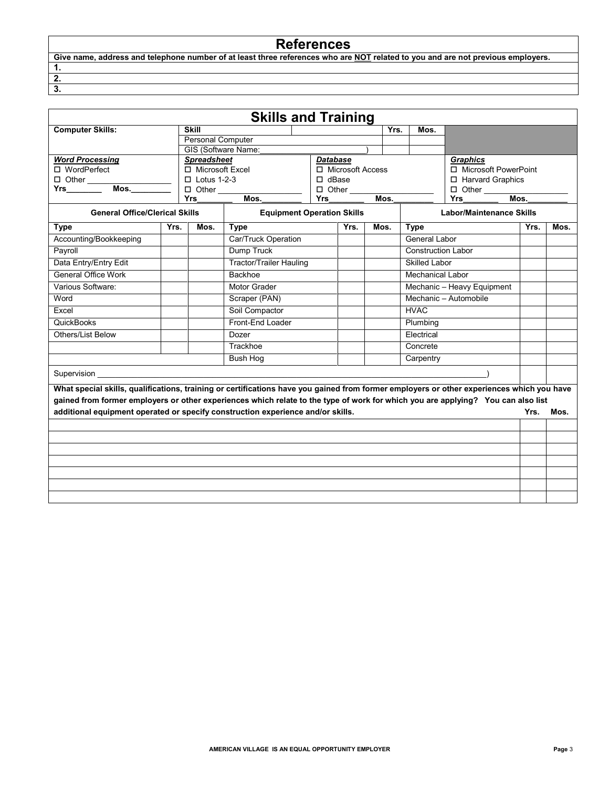## **References**

| Give name, address and telephone number of at least three references who are NOT related to you and are not previous employers. |  |
|---------------------------------------------------------------------------------------------------------------------------------|--|
|                                                                                                                                 |  |
|                                                                                                                                 |  |
|                                                                                                                                 |  |

|                                                                                                                                           |      |                                         | <b>Skills and Training</b>                             |                            |                                       |      |          |      |                                 |                    |                                           |      |  |
|-------------------------------------------------------------------------------------------------------------------------------------------|------|-----------------------------------------|--------------------------------------------------------|----------------------------|---------------------------------------|------|----------|------|---------------------------------|--------------------|-------------------------------------------|------|--|
| <b>Computer Skills:</b>                                                                                                                   |      | <b>Skill</b>                            |                                                        |                            |                                       |      |          | Yrs. | Mos.                            |                    |                                           |      |  |
|                                                                                                                                           |      | Personal Computer                       |                                                        |                            |                                       |      |          |      |                                 |                    |                                           |      |  |
|                                                                                                                                           |      |                                         | GIS (Software Name:                                    |                            |                                       |      |          |      |                                 |                    |                                           |      |  |
| <b>Word Processing</b><br>□ WordPerfect                                                                                                   |      | <b>Spreadsheet</b><br>□ Microsoft Excel |                                                        |                            | <b>Database</b><br>□ Microsoft Access |      |          |      |                                 |                    | <b>Graphics</b><br>□ Microsoft PowerPoint |      |  |
|                                                                                                                                           |      | $\Box$ Lotus 1-2-3                      |                                                        |                            | $\Box$ dBase<br>□ Harvard Graphics    |      |          |      |                                 |                    |                                           |      |  |
| Mos.<br><b>Yrs</b>                                                                                                                        |      | $\Box$ Other                            |                                                        | $\Box$ Other               |                                       |      |          |      |                                 |                    |                                           |      |  |
|                                                                                                                                           |      | <b>Yrs</b>                              | Mos.                                                   |                            | <b>Yrs</b>                            |      |          | Mos. |                                 | Mos.<br><b>Yrs</b> |                                           |      |  |
| <b>General Office/Clerical Skills</b>                                                                                                     |      |                                         | <b>Equipment Operation Skills</b>                      |                            |                                       |      |          |      | <b>Labor/Maintenance Skills</b> |                    |                                           |      |  |
| <b>Type</b>                                                                                                                               | Yrs. | Mos.                                    | <b>Type</b>                                            |                            |                                       | Yrs. |          | Mos. | <b>Type</b>                     |                    | Yrs.                                      | Mos. |  |
| Accounting/Bookkeeping                                                                                                                    |      |                                         | Car/Truck Operation                                    |                            |                                       |      |          |      | General Labor                   |                    |                                           |      |  |
| Payroll                                                                                                                                   |      |                                         | <b>Dump Truck</b>                                      |                            |                                       |      |          |      | <b>Construction Labor</b>       |                    |                                           |      |  |
| Data Entry/Entry Edit                                                                                                                     |      |                                         | <b>Tractor/Trailer Hauling</b><br><b>Skilled Labor</b> |                            |                                       |      |          |      |                                 |                    |                                           |      |  |
| <b>General Office Work</b>                                                                                                                |      |                                         | Backhoe                                                |                            |                                       |      |          |      | <b>Mechanical Labor</b>         |                    |                                           |      |  |
| Various Software:                                                                                                                         |      |                                         | Motor Grader                                           | Mechanic - Heavy Equipment |                                       |      |          |      |                                 |                    |                                           |      |  |
| Word                                                                                                                                      |      |                                         | Scraper (PAN)                                          |                            |                                       |      |          |      | Mechanic - Automobile           |                    |                                           |      |  |
| Excel                                                                                                                                     |      |                                         | Soil Compactor                                         |                            |                                       |      |          |      | <b>HVAC</b>                     |                    |                                           |      |  |
| <b>QuickBooks</b>                                                                                                                         |      |                                         | Front-End Loader                                       |                            |                                       |      | Plumbing |      |                                 |                    |                                           |      |  |
| <b>Others/List Below</b>                                                                                                                  |      |                                         | Dozer                                                  |                            |                                       |      |          |      | Electrical                      |                    |                                           |      |  |
|                                                                                                                                           |      |                                         | Trackhoe                                               |                            |                                       |      |          |      | Concrete                        |                    |                                           |      |  |
|                                                                                                                                           |      |                                         | <b>Bush Hog</b>                                        |                            |                                       |      |          |      | Carpentry                       |                    |                                           |      |  |
| Supervision                                                                                                                               |      |                                         |                                                        |                            |                                       |      |          |      |                                 |                    |                                           |      |  |
| What special skills, qualifications, training or certifications have you gained from former employers or other experiences which you have |      |                                         |                                                        |                            |                                       |      |          |      |                                 |                    |                                           |      |  |
| gained from former employers or other experiences which relate to the type of work for which you are applying? You can also list          |      |                                         |                                                        |                            |                                       |      |          |      |                                 |                    |                                           |      |  |
| additional equipment operated or specify construction experience and/or skills.                                                           |      |                                         |                                                        |                            |                                       |      |          |      |                                 |                    | Yrs.                                      | Mos. |  |
|                                                                                                                                           |      |                                         |                                                        |                            |                                       |      |          |      |                                 |                    |                                           |      |  |
|                                                                                                                                           |      |                                         |                                                        |                            |                                       |      |          |      |                                 |                    |                                           |      |  |
|                                                                                                                                           |      |                                         |                                                        |                            |                                       |      |          |      |                                 |                    |                                           |      |  |
|                                                                                                                                           |      |                                         |                                                        |                            |                                       |      |          |      |                                 |                    |                                           |      |  |
|                                                                                                                                           |      |                                         |                                                        |                            |                                       |      |          |      |                                 |                    |                                           |      |  |
|                                                                                                                                           |      |                                         |                                                        |                            |                                       |      |          |      |                                 |                    |                                           |      |  |
|                                                                                                                                           |      |                                         |                                                        |                            |                                       |      |          |      |                                 |                    |                                           |      |  |